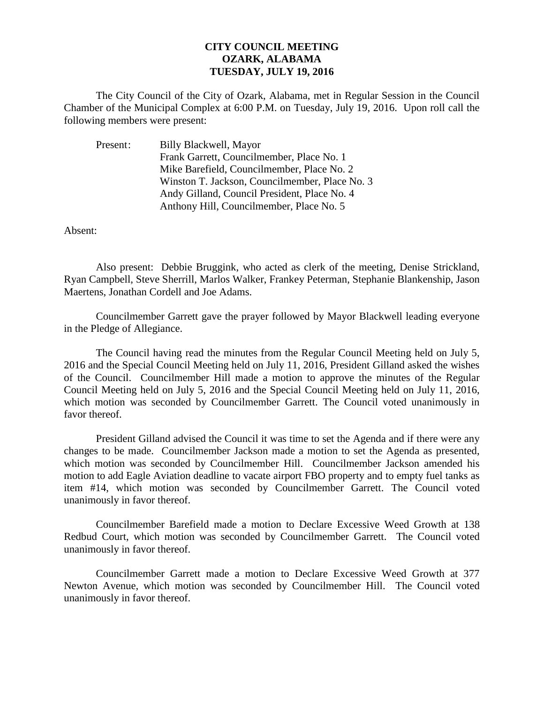## **CITY COUNCIL MEETING OZARK, ALABAMA TUESDAY, JULY 19, 2016**

The City Council of the City of Ozark, Alabama, met in Regular Session in the Council Chamber of the Municipal Complex at 6:00 P.M. on Tuesday, July 19, 2016. Upon roll call the following members were present:

| Present: | Billy Blackwell, Mayor                         |
|----------|------------------------------------------------|
|          | Frank Garrett, Councilmember, Place No. 1      |
|          | Mike Barefield, Councilmember, Place No. 2     |
|          | Winston T. Jackson, Councilmember, Place No. 3 |
|          | Andy Gilland, Council President, Place No. 4   |
|          | Anthony Hill, Councilmember, Place No. 5       |

Absent:

Also present: Debbie Bruggink, who acted as clerk of the meeting, Denise Strickland, Ryan Campbell, Steve Sherrill, Marlos Walker, Frankey Peterman, Stephanie Blankenship, Jason Maertens, Jonathan Cordell and Joe Adams.

Councilmember Garrett gave the prayer followed by Mayor Blackwell leading everyone in the Pledge of Allegiance.

The Council having read the minutes from the Regular Council Meeting held on July 5, 2016 and the Special Council Meeting held on July 11, 2016, President Gilland asked the wishes of the Council. Councilmember Hill made a motion to approve the minutes of the Regular Council Meeting held on July 5, 2016 and the Special Council Meeting held on July 11, 2016, which motion was seconded by Councilmember Garrett. The Council voted unanimously in favor thereof.

President Gilland advised the Council it was time to set the Agenda and if there were any changes to be made. Councilmember Jackson made a motion to set the Agenda as presented, which motion was seconded by Councilmember Hill. Councilmember Jackson amended his motion to add Eagle Aviation deadline to vacate airport FBO property and to empty fuel tanks as item #14, which motion was seconded by Councilmember Garrett. The Council voted unanimously in favor thereof.

Councilmember Barefield made a motion to Declare Excessive Weed Growth at 138 Redbud Court, which motion was seconded by Councilmember Garrett. The Council voted unanimously in favor thereof.

Councilmember Garrett made a motion to Declare Excessive Weed Growth at 377 Newton Avenue, which motion was seconded by Councilmember Hill. The Council voted unanimously in favor thereof.